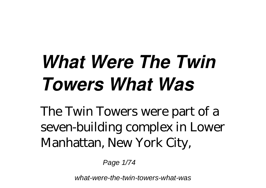# *What Were The Twin Towers What Was*

The Twin Towers were part of a seven-building complex in Lower Manhattan, New York City,

Page 1/74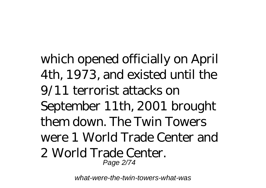which opened officially on April 4th, 1973, and existed until the 9/11 terrorist attacks on September 11th, 2001 brought them down. The Twin Towers were 1 World Trade Center and 2 World Trade Center. Page 2/74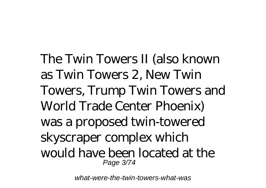The Twin Towers II (also known as Twin Towers 2, New Twin Towers, Trump Twin Towers and World Trade Center Phoenix) was a proposed twin-towered skyscraper complex which would have been located at the Page 3/74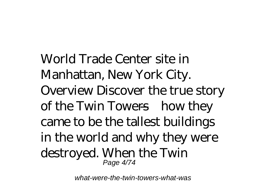World Trade Center site in Manhattan, New York City. Overview Discover the true story of the Twin Towers—how they came to be the tallest buildings in the world and why they were destroyed. When the Twin Page 4/74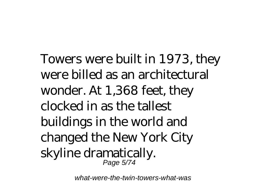Towers were built in 1973, they were billed as an architectural wonder. At 1,368 feet, they clocked in as the tallest buildings in the world and changed the New York City skyline dramatically. Page 5/74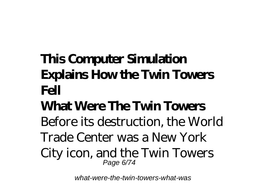## **This Computer Simulation Explains How the Twin Towers Fell**

#### **What Were The Twin Towers**

Before its destruction, the World

Trade Center was a New York

City icon, and the Twin Towers Page 6/74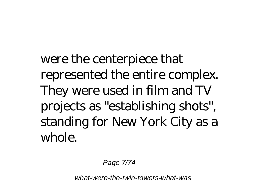were the centerpiece that represented the entire complex. They were used in film and TV projects as "establishing shots", standing for New York City as a whole.

Page 7/74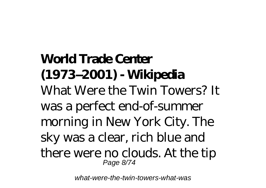**World Trade Center (1973–2001) - Wikipedia** What Were the Twin Towers? It was a perfect end-of-summer morning in New York City. The sky was a clear, rich blue and there were no clouds. At the tip Page 8/74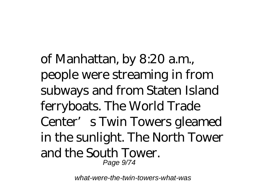of Manhattan, by 8:20 a.m., people were streaming in from subways and from Staten Island ferryboats. The World Trade Center's Twin Towers gleamed in the sunlight. The North Tower and the South Tower. Page 9/74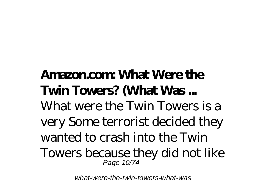#### **Amazon.com: What Were the Twin Towers? (What Was ...**

What were the Twin Towers is a very Some terrorist decided they wanted to crash into the Twin Towers because they did not like Page 10/74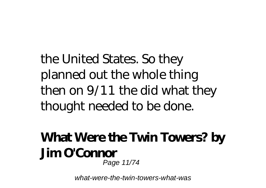the United States. So they planned out the whole thing then on 9/11 the did what they thought needed to be done.

#### **What Were the Twin Towers? by Jim O'Connor** Page 11/74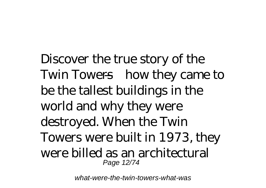Discover the true story of the Twin Towers—how they came to be the tallest buildings in the world and why they were destroyed. When the Twin Towers were built in 1973, they were billed as an architectural Page 12/74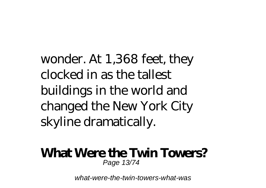wonder. At 1,368 feet, they clocked in as the tallest buildings in the world and changed the New York City skyline dramatically.

#### **What Were the Twin Towers?** Page 13/74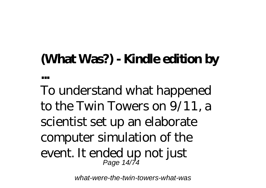### **(What Was?) - Kindle edition by**

**...**

To understand what happened to the Twin Towers on 9/11, a scientist set up an elaborate computer simulation of the event. It ended up not just Page 14/74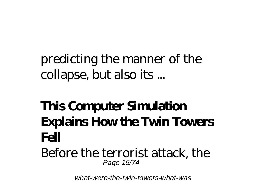### predicting the manner of the collapse, but also its ...

### **This Computer Simulation Explains How the Twin Towers Fell**

Before the terrorist attack, the Page 15/74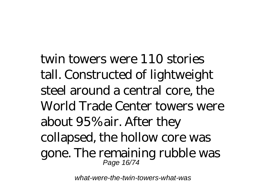twin towers were 110 stories tall. Constructed of lightweight steel around a central core, the World Trade Center towers were about 95% air. After they collapsed, the hollow core was gone. The remaining rubble was Page 16/74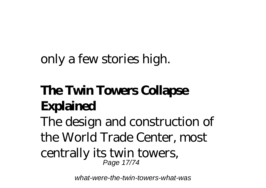#### only a few stories high.

# **The Twin Towers Collapse Explained**

The design and construction of the World Trade Center, most

#### centrally its twin towers, Page 17/74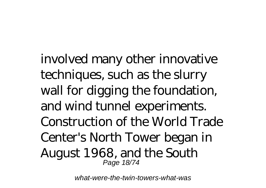involved many other innovative techniques, such as the slurry wall for digging the foundation, and wind tunnel experiments. Construction of the World Trade Center's North Tower began in August 1968, and the South Page 18/74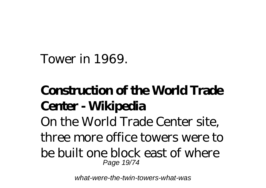Tower in 1969.

### **Construction of the World Trade Center - Wikipedia**

On the World Trade Center site, three more office towers were to be built one block east of where Page 19/74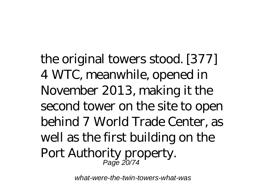the original towers stood. [377] 4 WTC, meanwhile, opened in November 2013, making it the second tower on the site to open behind 7 World Trade Center, as well as the first building on the Port Authority property. Page 20/74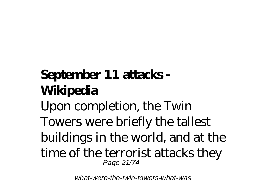# **September 11 attacks - Wikipedia**

Upon completion, the Twin Towers were briefly the tallest buildings in the world, and at the time of the terrorist attacks they Page 21/74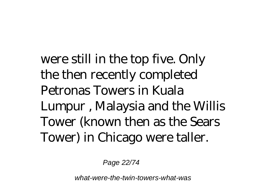were still in the top five. Only the then recently completed Petronas Towers in Kuala Lumpur , Malaysia and the Willis Tower (known then as the Sears Tower) in Chicago were taller.

Page 22/74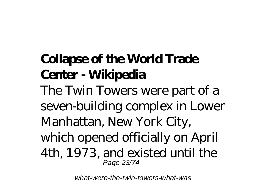# **Collapse of the World Trade Center - Wikipedia**

The Twin Towers were part of a seven-building complex in Lower Manhattan, New York City, which opened officially on April 4th, 1973, and existed until the Page 23/74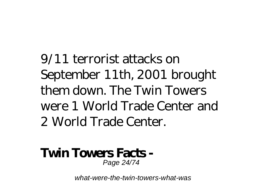9/11 terrorist attacks on September 11th, 2001 brought them down. The Twin Towers were 1 World Trade Center and 2 World Trade Center.

#### **Twin Towers Facts -** Page 24/74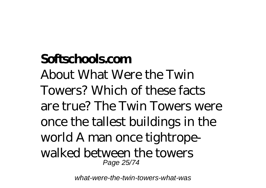#### **Softschools.com**

About What Were the Twin Towers? Which of these facts are true? The Twin Towers were once the tallest buildings in the world A man once tightropewalked between the towers Page 25/74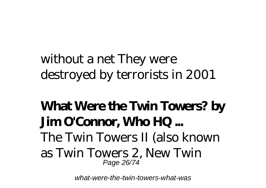### without a net They were destroyed by terrorists in 2001

#### **What Were the Twin Towers? by Jim O'Connor, Who HQ ...** The Twin Towers II (also known as Twin Towers 2, New Twin Page 26/74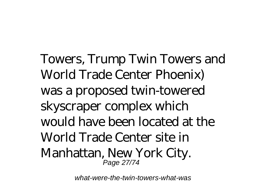Towers, Trump Twin Towers and World Trade Center Phoenix) was a proposed twin-towered skyscraper complex which would have been located at the World Trade Center site in Manhattan, New York City. Page 27/74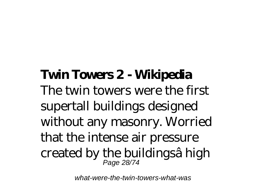#### **Twin Towers 2 - Wikipedia** The twin towers were the first supertall buildings designed without any masonry. Worried that the intense air pressure created by the buildingsâ high Page 28/74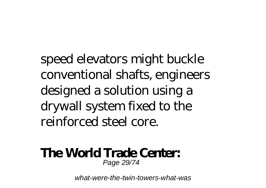speed elevators might buckle conventional shafts, engineers designed a solution using a drywall system fixed to the reinforced steel core.

#### **The World Trade Center:** Page 29/74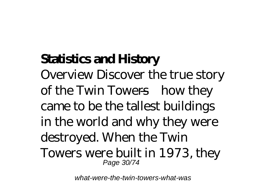### **Statistics and History**

Overview Discover the true story of the Twin Towers—how they came to be the tallest buildings in the world and why they were destroyed. When the Twin Towers were built in 1973, they Page 30/74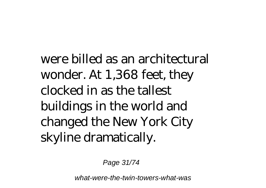were billed as an architectural wonder. At 1,368 feet, they clocked in as the tallest buildings in the world and changed the New York City skyline dramatically.

Page 31/74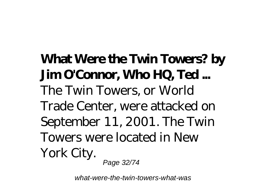**What Were the Twin Towers? by Jim O'Connor, Who HQ, Ted ...** The Twin Towers, or World Trade Center, were attacked on September 11, 2001. The Twin Towers were located in New York City. Page 32/74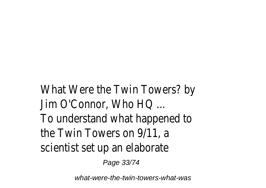What Were the Twin Towers? by Jim O'Connor, Who HQ ... To understand what happened to the Twin Towers on 9/11, a scientist set up an elaborate

Page 33/74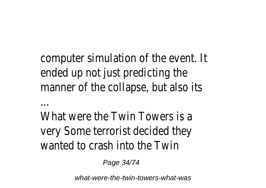computer simulation of the event. It ended up not just predicting the manner of the collapse, but also its

What were the Twin Towers is a very Some terrorist decided they wanted to crash into the Twin

Page 34/74

...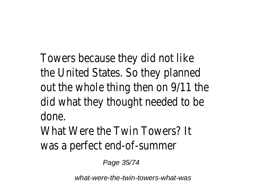Towers because they did not like the United States. So they planned out the whole thing then on 9/11 the did what they thought needed to be done.

What Were the Twin Towers? It was a perfect end-of-summer

Page 35/74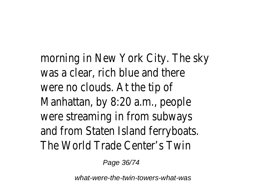morning in New York City. The sky was a clear, rich blue and there were no clouds. At the tip of Manhattan, by 8:20 a.m., people were streaming in from subways and from Staten Island ferryboats. The World Trade Center's Twin

Page 36/74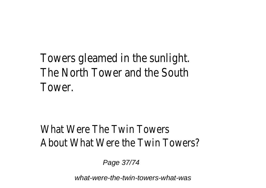## Towers gleamed in the sunlight. The North Tower and the South Tower.

### What Were The Twin Towers About What Were the Twin Towers?

Page 37/74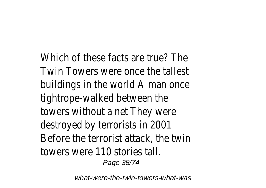Which of these facts are true? The Twin Towers were once the tallest buildings in the world A man once tightrope-walked between the towers without a net They were destroyed by terrorists in 2001 Before the terrorist attack, the twin towers were 110 stories tall. Page 38/74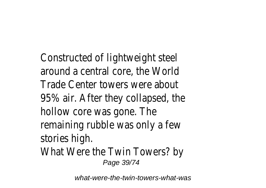Constructed of lightweight steel around a central core, the World Trade Center towers were about 95% air. After they collapsed, the hollow core was gone. The remaining rubble was only a few stories high. What Were the Twin Towers? by Page 39/74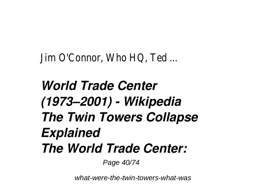Jim O'Connor, Who HQ, Ted ...

# *World Trade Center (1973–2001) - Wikipedia The Twin Towers Collapse Explained The World Trade Center:*

Page 40/74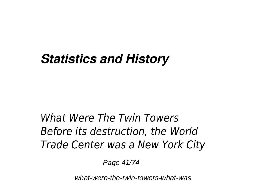## *Statistics and History*

## *What Were The Twin Towers Before its destruction, the World Trade Center was a New York City*

Page 41/74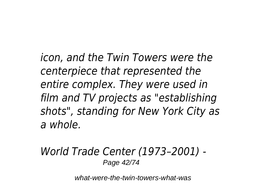*icon, and the Twin Towers were the centerpiece that represented the entire complex. They were used in film and TV projects as "establishing shots", standing for New York City as a whole.*

#### *World Trade Center (1973–2001) -* Page 42/74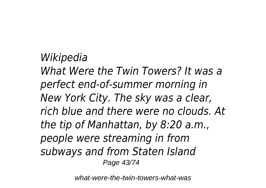*Wikipedia What Were the Twin Towers? It was a perfect end-of-summer morning in New York City. The sky was a clear, rich blue and there were no clouds. At the tip of Manhattan, by 8:20 a.m., people were streaming in from subways and from Staten Island* Page 43/74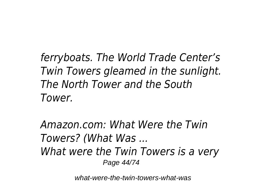*ferryboats. The World Trade Center's Twin Towers gleamed in the sunlight. The North Tower and the South Tower.*

*Amazon.com: What Were the Twin Towers? (What Was ... What were the Twin Towers is a very* Page 44/74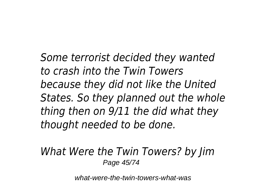*Some terrorist decided they wanted to crash into the Twin Towers because they did not like the United States. So they planned out the whole thing then on 9/11 the did what they thought needed to be done.*

#### *What Were the Twin Towers? by Jim* Page 45/74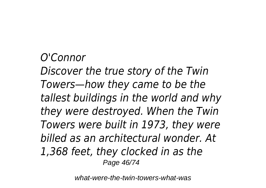### *O'Connor*

*Discover the true story of the Twin Towers—how they came to be the tallest buildings in the world and why they were destroyed. When the Twin Towers were built in 1973, they were billed as an architectural wonder. At 1,368 feet, they clocked in as the* Page 46/74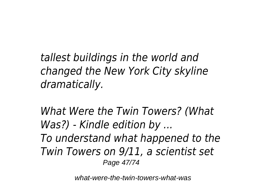*tallest buildings in the world and changed the New York City skyline dramatically.*

*What Were the Twin Towers? (What Was?) - Kindle edition by ... To understand what happened to the Twin Towers on 9/11, a scientist set* Page 47/74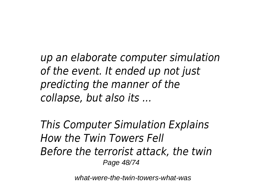*up an elaborate computer simulation of the event. It ended up not just predicting the manner of the collapse, but also its ...*

*This Computer Simulation Explains How the Twin Towers Fell Before the terrorist attack, the twin* Page 48/74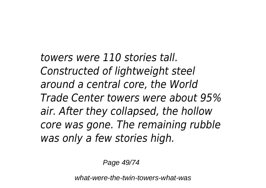*towers were 110 stories tall. Constructed of lightweight steel around a central core, the World Trade Center towers were about 95% air. After they collapsed, the hollow core was gone. The remaining rubble was only a few stories high.*

Page 49/74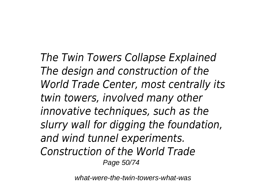*The Twin Towers Collapse Explained The design and construction of the World Trade Center, most centrally its twin towers, involved many other innovative techniques, such as the slurry wall for digging the foundation, and wind tunnel experiments. Construction of the World Trade* Page 50/74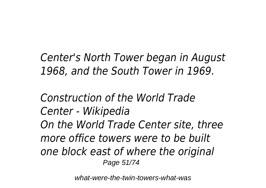*Center's North Tower began in August 1968, and the South Tower in 1969.*

*Construction of the World Trade Center - Wikipedia On the World Trade Center site, three more office towers were to be built one block east of where the original* Page 51/74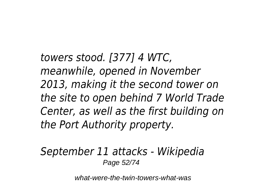*towers stood. [377] 4 WTC, meanwhile, opened in November 2013, making it the second tower on the site to open behind 7 World Trade Center, as well as the first building on the Port Authority property.*

#### *September 11 attacks - Wikipedia* Page 52/74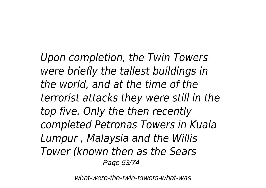*Upon completion, the Twin Towers were briefly the tallest buildings in the world, and at the time of the terrorist attacks they were still in the top five. Only the then recently completed Petronas Towers in Kuala Lumpur , Malaysia and the Willis Tower (known then as the Sears* Page 53/74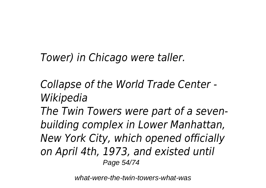*Tower) in Chicago were taller.*

*Collapse of the World Trade Center - Wikipedia*

*The Twin Towers were part of a sevenbuilding complex in Lower Manhattan, New York City, which opened officially on April 4th, 1973, and existed until* Page 54/74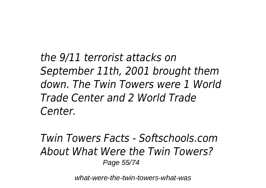*the 9/11 terrorist attacks on September 11th, 2001 brought them down. The Twin Towers were 1 World Trade Center and 2 World Trade Center.*

*Twin Towers Facts - Softschools.com About What Were the Twin Towers?* Page 55/74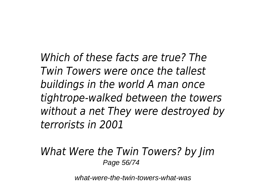*Which of these facts are true? The Twin Towers were once the tallest buildings in the world A man once tightrope-walked between the towers without a net They were destroyed by terrorists in 2001*

*What Were the Twin Towers? by Jim* Page 56/74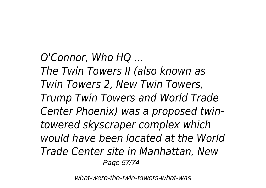*O'Connor, Who HQ ... The Twin Towers II (also known as Twin Towers 2, New Twin Towers, Trump Twin Towers and World Trade Center Phoenix) was a proposed twintowered skyscraper complex which would have been located at the World Trade Center site in Manhattan, New* Page 57/74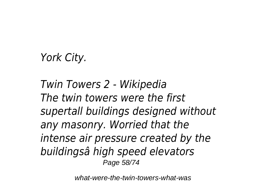## *York City.*

*Twin Towers 2 - Wikipedia The twin towers were the first supertall buildings designed without any masonry. Worried that the intense air pressure created by the buildingsâ high speed elevators* Page 58/74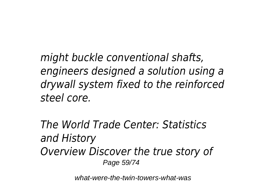*might buckle conventional shafts, engineers designed a solution using a drywall system fixed to the reinforced steel core.*

*The World Trade Center: Statistics and History Overview Discover the true story of* Page 59/74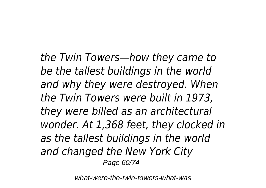*the Twin Towers—how they came to be the tallest buildings in the world and why they were destroyed. When the Twin Towers were built in 1973, they were billed as an architectural wonder. At 1,368 feet, they clocked in as the tallest buildings in the world and changed the New York City* Page 60/74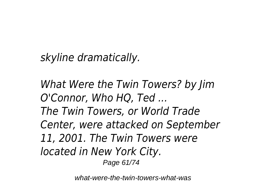*skyline dramatically.*

*What Were the Twin Towers? by Jim O'Connor, Who HQ, Ted ... The Twin Towers, or World Trade Center, were attacked on September 11, 2001. The Twin Towers were located in New York City.* Page 61/74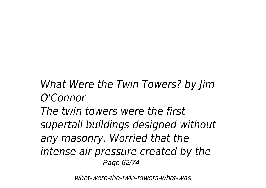## *What Were the Twin Towers? by Jim O'Connor*

*The twin towers were the first supertall buildings designed without any masonry. Worried that the intense air pressure created by the* Page 62/74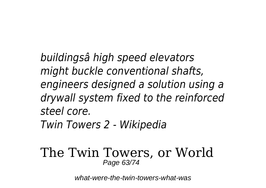*buildingsâ high speed elevators might buckle conventional shafts, engineers designed a solution using a drywall system fixed to the reinforced steel core.*

*Twin Towers 2 - Wikipedia*

#### The Twin Towers, or World Page 63/74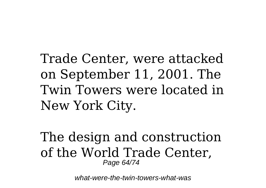Trade Center, were attacked on September 11, 2001. The Twin Towers were located in New York City.

The design and construction of the World Trade Center, Page 64/74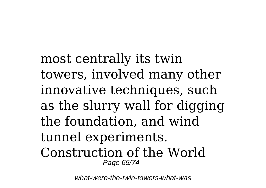most centrally its twin towers, involved many other innovative techniques, such as the slurry wall for digging the foundation, and wind tunnel experiments. Construction of the World Page 65/74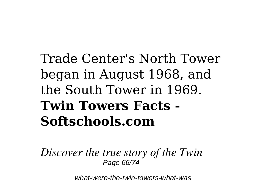# Trade Center's North Tower began in August 1968, and the South Tower in 1969. **Twin Towers Facts - Softschools.com**

*Discover the true story of the Twin* Page 66/74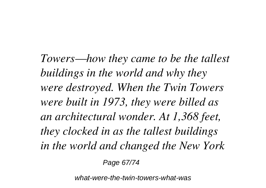*Towers—how they came to be the tallest buildings in the world and why they were destroyed. When the Twin Towers were built in 1973, they were billed as an architectural wonder. At 1,368 feet, they clocked in as the tallest buildings in the world and changed the New York*

Page 67/74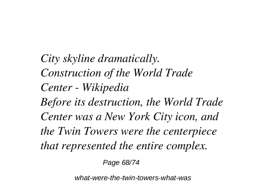*City skyline dramatically. Construction of the World Trade Center - Wikipedia Before its destruction, the World Trade Center was a New York City icon, and the Twin Towers were the centerpiece that represented the entire complex.*

Page 68/74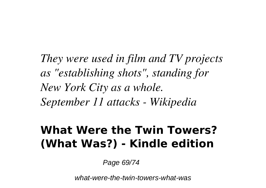*They were used in film and TV projects as "establishing shots", standing for New York City as a whole. September 11 attacks - Wikipedia*

## **What Were the Twin Towers? (What Was?) - Kindle edition**

Page 69/74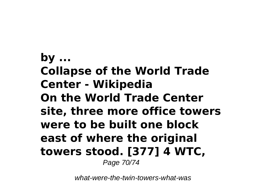**by ... Collapse of the World Trade Center - Wikipedia On the World Trade Center site, three more office towers were to be built one block east of where the original towers stood. [377] 4 WTC,** Page 70/74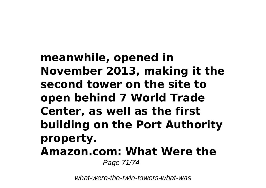**meanwhile, opened in November 2013, making it the second tower on the site to open behind 7 World Trade Center, as well as the first building on the Port Authority property. Amazon.com: What Were the** Page 71/74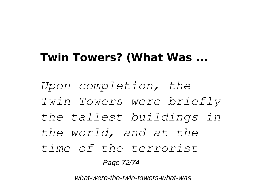## **Twin Towers? (What Was ...**

*Upon completion, the Twin Towers were briefly the tallest buildings in the world, and at the time of the terrorist*

Page 72/74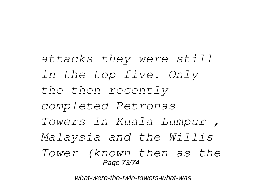*attacks they were still in the top five. Only the then recently completed Petronas Towers in Kuala Lumpur , Malaysia and the Willis Tower (known then as the* Page 73/74

what-were-the-twin-towers-what-was